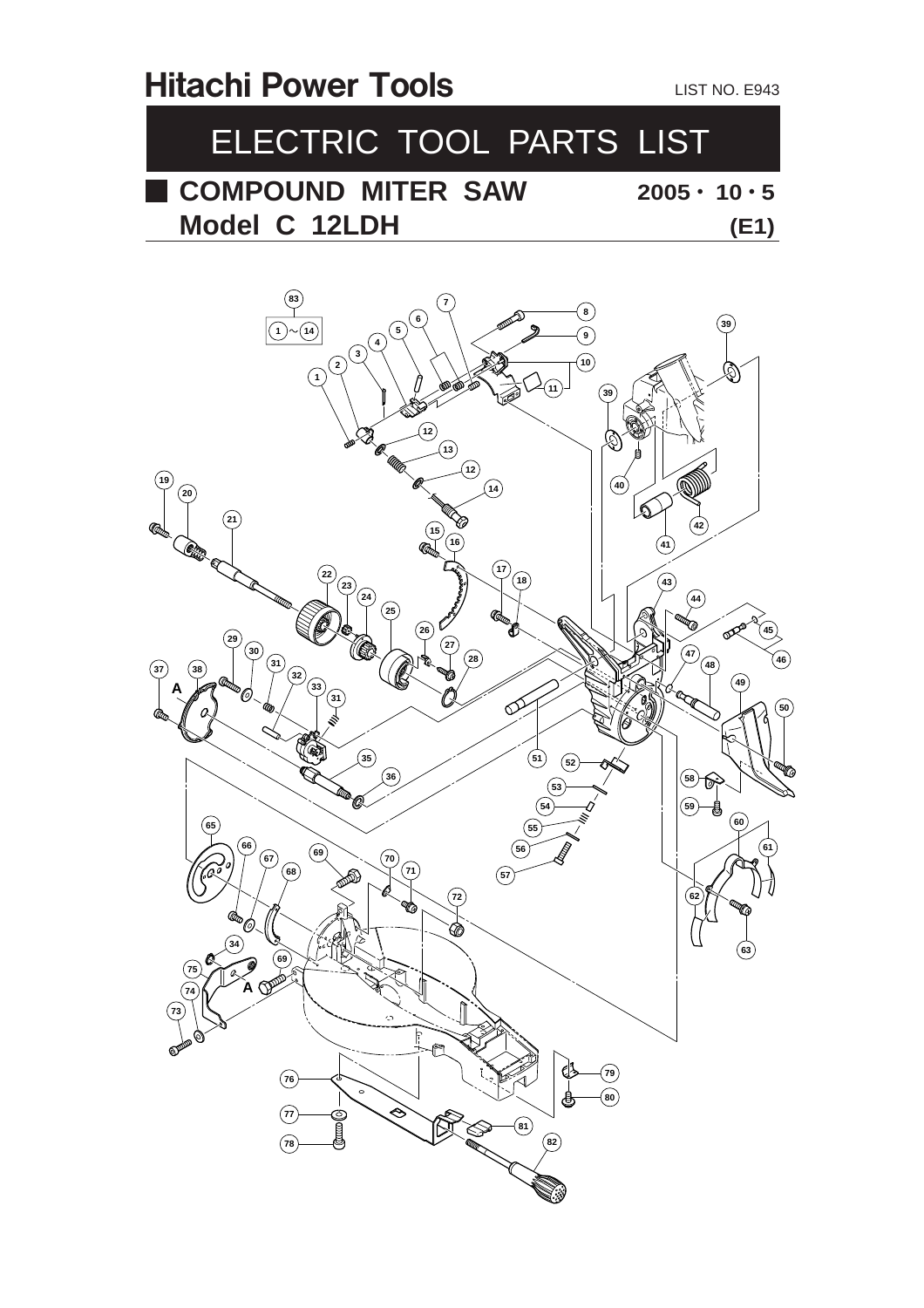

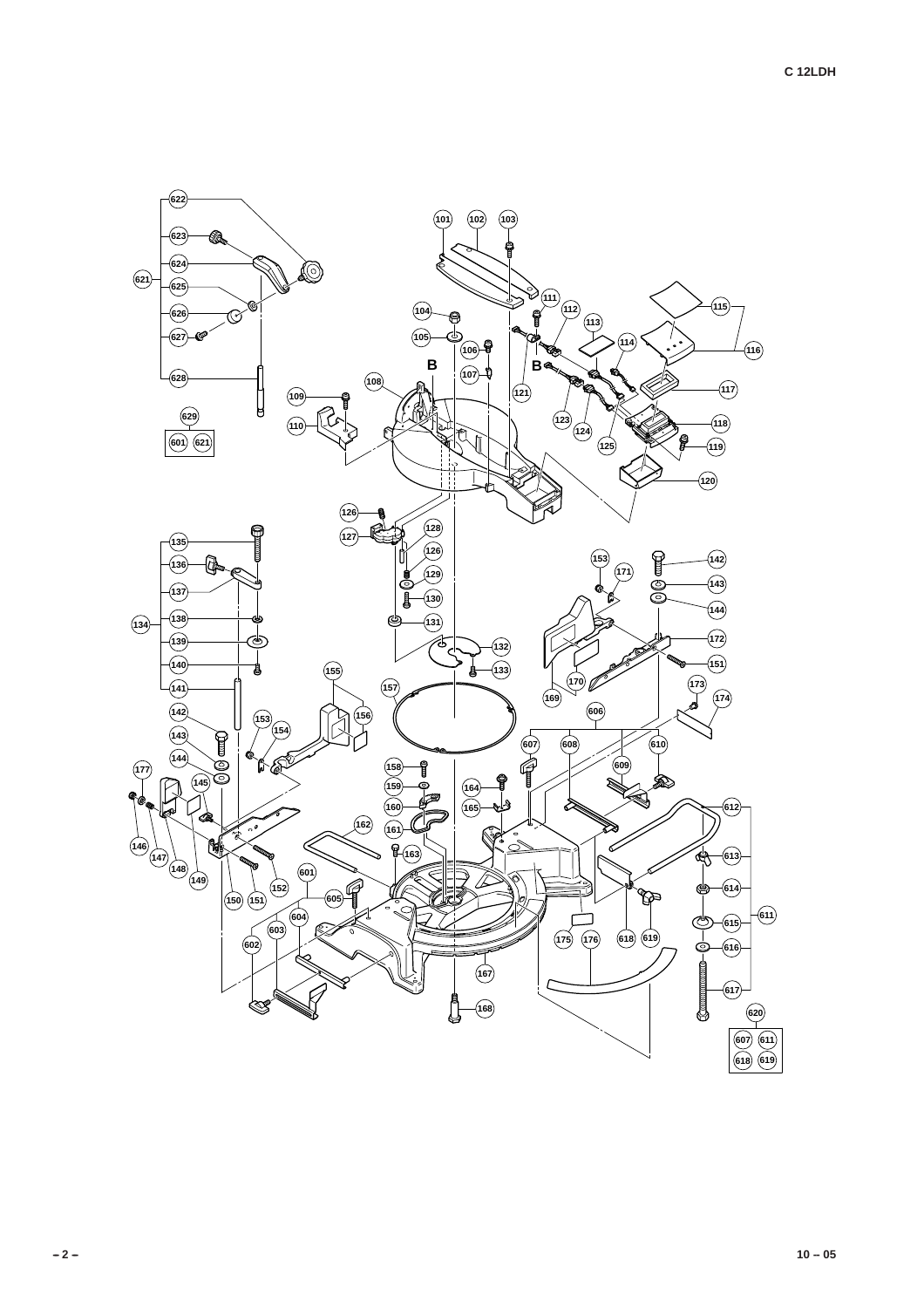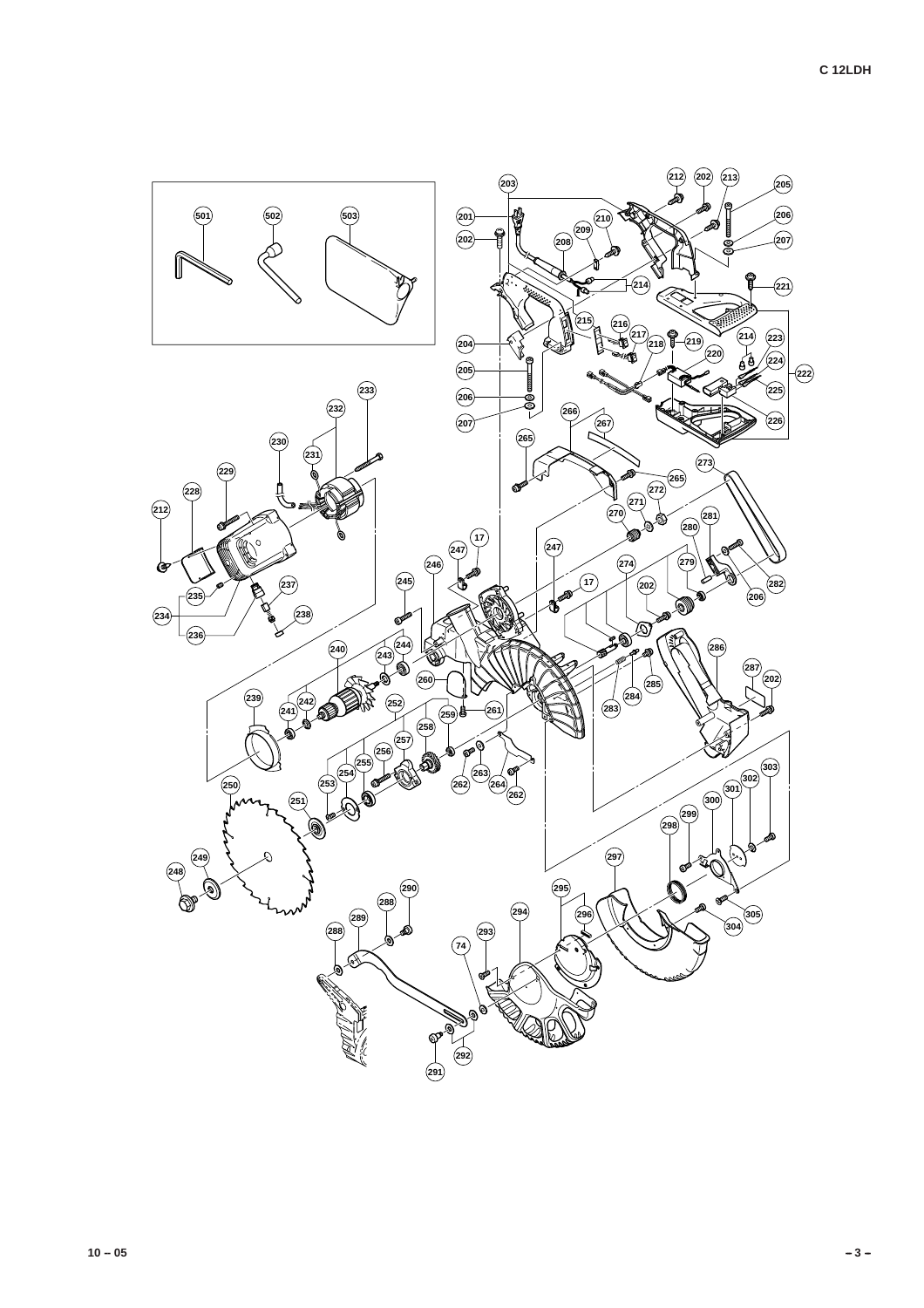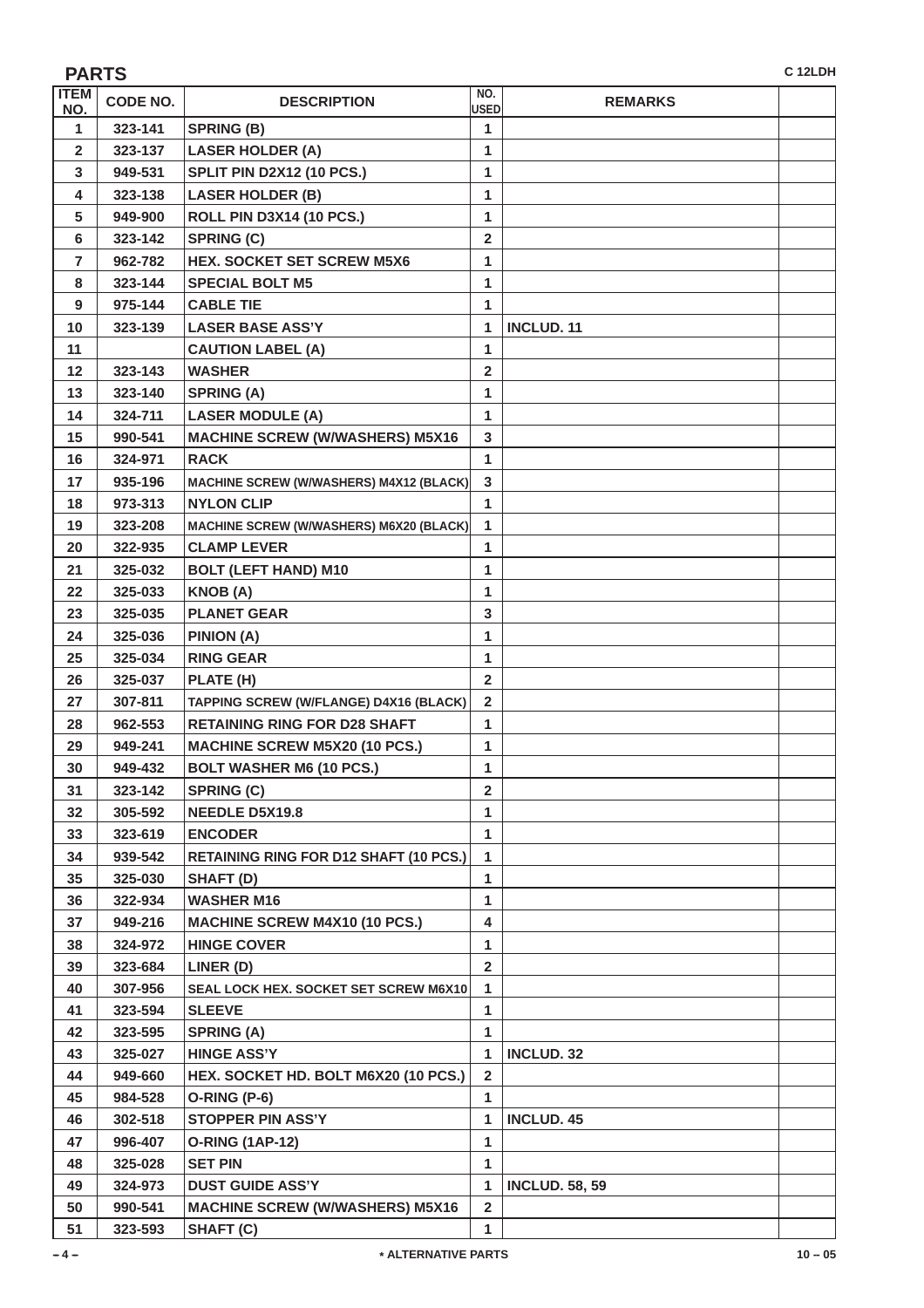| <b>ITEM</b><br>NO. | <b>CODE NO.</b> | <b>DESCRIPTION</b>                            | NO.<br><b>USED</b> | <b>REMARKS</b>        |  |
|--------------------|-----------------|-----------------------------------------------|--------------------|-----------------------|--|
| 1                  | 323-141         | <b>SPRING (B)</b>                             | 1                  |                       |  |
| $\overline{2}$     | 323-137         | <b>LASER HOLDER (A)</b>                       | 1                  |                       |  |
| 3                  | 949-531         | SPLIT PIN D2X12 (10 PCS.)                     | 1                  |                       |  |
| 4                  | 323-138         | <b>LASER HOLDER (B)</b>                       | 1                  |                       |  |
| 5                  | 949-900         | <b>ROLL PIN D3X14 (10 PCS.)</b>               | 1                  |                       |  |
| 6                  | 323-142         | <b>SPRING (C)</b>                             | $\overline{2}$     |                       |  |
| 7                  | 962-782         | <b>HEX. SOCKET SET SCREW M5X6</b>             | 1                  |                       |  |
| 8                  | 323-144         | <b>SPECIAL BOLT M5</b>                        | 1                  |                       |  |
| 9                  | 975-144         | <b>CABLE TIE</b>                              | 1                  |                       |  |
| 10                 | 323-139         | <b>LASER BASE ASS'Y</b>                       | 1                  | <b>INCLUD. 11</b>     |  |
| 11                 |                 | <b>CAUTION LABEL (A)</b>                      | 1                  |                       |  |
| 12                 | 323-143         | <b>WASHER</b>                                 | $\mathbf 2$        |                       |  |
| 13                 | 323-140         | <b>SPRING (A)</b>                             | 1                  |                       |  |
| 14                 | 324-711         | <b>LASER MODULE (A)</b>                       | 1                  |                       |  |
|                    |                 |                                               |                    |                       |  |
| 15                 | 990-541         | <b>MACHINE SCREW (W/WASHERS) M5X16</b>        | 3                  |                       |  |
| 16                 | 324-971         | <b>RACK</b>                                   | 1                  |                       |  |
| 17                 | 935-196         | MACHINE SCREW (W/WASHERS) M4X12 (BLACK)       | 3                  |                       |  |
| 18                 | 973-313         | <b>NYLON CLIP</b>                             | 1                  |                       |  |
| 19                 | 323-208         | MACHINE SCREW (W/WASHERS) M6X20 (BLACK)       | 1                  |                       |  |
| 20                 | 322-935         | <b>CLAMP LEVER</b>                            | 1                  |                       |  |
| 21                 | 325-032         | <b>BOLT (LEFT HAND) M10</b>                   | 1                  |                       |  |
| 22                 | 325-033         | <b>KNOB (A)</b>                               | 1                  |                       |  |
| 23                 | 325-035         | <b>PLANET GEAR</b>                            | 3                  |                       |  |
| 24                 | 325-036         | PINION (A)                                    | 1                  |                       |  |
| 25                 | 325-034         | <b>RING GEAR</b>                              | 1                  |                       |  |
| 26                 | 325-037         | PLATE (H)                                     | $\mathbf{2}$       |                       |  |
| 27                 | 307-811         | TAPPING SCREW (W/FLANGE) D4X16 (BLACK)        | $\overline{2}$     |                       |  |
| 28                 | 962-553         | <b>RETAINING RING FOR D28 SHAFT</b>           | 1                  |                       |  |
| 29                 | 949-241         | <b>MACHINE SCREW M5X20 (10 PCS.)</b>          | 1                  |                       |  |
| 30                 | 949-432         | <b>BOLT WASHER M6 (10 PCS.)</b>               | 1                  |                       |  |
| 31                 | 323-142         | <b>SPRING (C)</b>                             | 2                  |                       |  |
| 32                 | 305-592         | <b>NEEDLE D5X19.8</b>                         | 1                  |                       |  |
| 33                 | 323-619         | <b>ENCODER</b>                                | 1                  |                       |  |
| 34                 | 939-542         | <b>RETAINING RING FOR D12 SHAFT (10 PCS.)</b> | 1                  |                       |  |
| 35 <sub>5</sub>    | 325-030         | SHAFT (D)                                     | 1                  |                       |  |
| 36                 | 322-934         | <b>WASHER M16</b>                             | 1                  |                       |  |
| 37                 | 949-216         | <b>MACHINE SCREW M4X10 (10 PCS.)</b>          | 4                  |                       |  |
| 38                 | 324-972         | <b>HINGE COVER</b>                            | 1                  |                       |  |
| 39                 | 323-684         | LINER (D)                                     | $\mathbf{2}$       |                       |  |
| 40                 | 307-956         | SEAL LOCK HEX. SOCKET SET SCREW M6X10         | 1                  |                       |  |
| 41                 | 323-594         | <b>SLEEVE</b>                                 | 1                  |                       |  |
| 42                 | 323-595         | <b>SPRING (A)</b>                             | 1                  |                       |  |
| 43                 | 325-027         | <b>HINGE ASS'Y</b>                            | 1                  | <b>INCLUD. 32</b>     |  |
| 44                 | 949-660         | HEX. SOCKET HD. BOLT M6X20 (10 PCS.)          | $\mathbf{2}$       |                       |  |
| 45                 | 984-528         | O-RING (P-6)                                  | 1                  |                       |  |
| 46                 | 302-518         | <b>STOPPER PIN ASS'Y</b>                      | 1                  | <b>INCLUD. 45</b>     |  |
| 47                 | 996-407         | <b>O-RING (1AP-12)</b>                        | 1                  |                       |  |
|                    |                 | <b>SET PIN</b>                                | 1                  |                       |  |
| 48                 | 325-028         |                                               |                    |                       |  |
| 49                 | 324-973         | <b>DUST GUIDE ASS'Y</b>                       | 1                  | <b>INCLUD. 58, 59</b> |  |
| 50                 | 990-541         | <b>MACHINE SCREW (W/WASHERS) M5X16</b>        | $\overline{2}$     |                       |  |
| 51                 | 323-593         | SHAFT (C)                                     | 1                  |                       |  |

 $\overline{\mathcal{L}^{\mathcal{L}}(\mathcal{L}^{\mathcal{L}}(\mathcal{L}^{\mathcal{L}}(\mathcal{L}^{\mathcal{L}}(\mathcal{L}^{\mathcal{L}}(\mathcal{L}^{\mathcal{L}}(\mathcal{L}^{\mathcal{L}}(\mathcal{L}^{\mathcal{L}}(\mathcal{L}^{\mathcal{L}}(\mathcal{L}^{\mathcal{L}}(\mathcal{L}^{\mathcal{L}}(\mathcal{L}^{\mathcal{L}}(\mathcal{L}^{\mathcal{L}}(\mathcal{L}^{\mathcal{L}}(\mathcal{L}^{\mathcal{L}}(\mathcal{L}^{\mathcal{L}}(\mathcal{L}^{\math$ 

٦

**PARTS**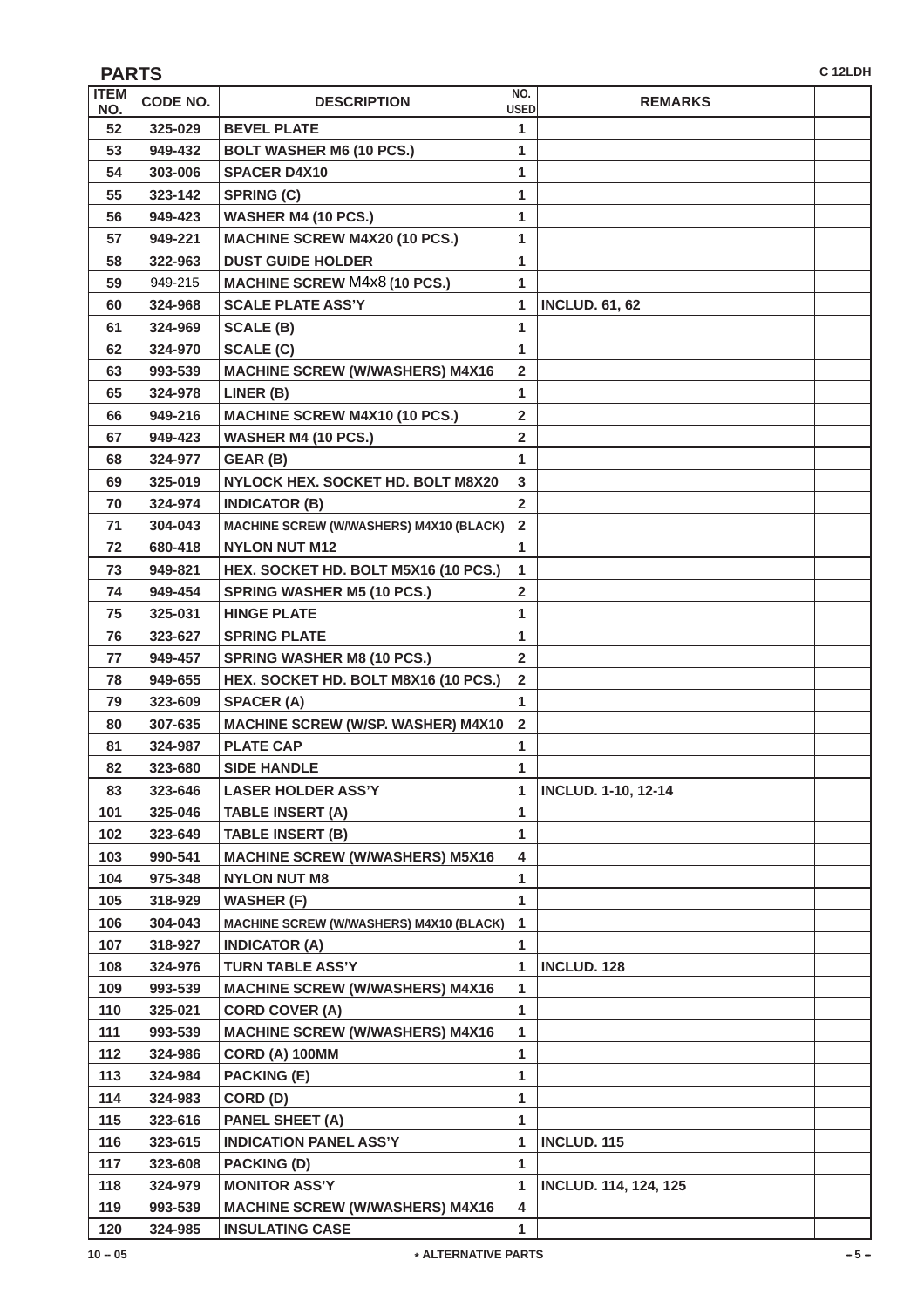| <b>ITEM</b><br>NO. | CODE NO. | <b>DESCRIPTION</b>                      | NO.<br>USED             | <b>REMARKS</b>               |  |
|--------------------|----------|-----------------------------------------|-------------------------|------------------------------|--|
| 52                 | 325-029  | <b>BEVEL PLATE</b>                      | 1                       |                              |  |
| 53                 | 949-432  | <b>BOLT WASHER M6 (10 PCS.)</b>         | 1                       |                              |  |
| 54                 | 303-006  | <b>SPACER D4X10</b>                     | 1                       |                              |  |
| 55                 | 323-142  | <b>SPRING (C)</b>                       | 1                       |                              |  |
| 56                 | 949-423  | <b>WASHER M4 (10 PCS.)</b>              | 1                       |                              |  |
| 57                 | 949-221  | <b>MACHINE SCREW M4X20 (10 PCS.)</b>    | 1                       |                              |  |
| 58                 | 322-963  | <b>DUST GUIDE HOLDER</b>                | 1                       |                              |  |
| 59                 | 949-215  | <b>MACHINE SCREW M4x8 (10 PCS.)</b>     | 1                       |                              |  |
| 60                 | 324-968  | <b>SCALE PLATE ASS'Y</b>                | 1                       | <b>INCLUD. 61, 62</b>        |  |
| 61                 | 324-969  | <b>SCALE (B)</b>                        | 1                       |                              |  |
| 62                 | 324-970  | <b>SCALE (C)</b>                        | 1                       |                              |  |
| 63                 | 993-539  | <b>MACHINE SCREW (W/WASHERS) M4X16</b>  | $\overline{2}$          |                              |  |
| 65                 | 324-978  | LINER (B)                               | 1                       |                              |  |
| 66                 | 949-216  | <b>MACHINE SCREW M4X10 (10 PCS.)</b>    | $\overline{2}$          |                              |  |
| 67                 | 949-423  | <b>WASHER M4 (10 PCS.)</b>              | $\overline{\mathbf{2}}$ |                              |  |
| 68                 | 324-977  | GEAR (B)                                | 1                       |                              |  |
| 69                 | 325-019  | NYLOCK HEX. SOCKET HD. BOLT M8X20       | 3                       |                              |  |
| 70                 | 324-974  | <b>INDICATOR (B)</b>                    | $\overline{2}$          |                              |  |
|                    | 304-043  |                                         | $\overline{2}$          |                              |  |
| 71                 |          | MACHINE SCREW (W/WASHERS) M4X10 (BLACK) |                         |                              |  |
| 72                 | 680-418  | <b>NYLON NUT M12</b>                    | 1                       |                              |  |
| 73                 | 949-821  | HEX. SOCKET HD. BOLT M5X16 (10 PCS.)    | 1                       |                              |  |
| 74                 | 949-454  | <b>SPRING WASHER M5 (10 PCS.)</b>       | $\overline{\mathbf{2}}$ |                              |  |
| 75                 | 325-031  | <b>HINGE PLATE</b>                      | 1                       |                              |  |
| 76                 | 323-627  | <b>SPRING PLATE</b>                     | 1                       |                              |  |
| 77                 | 949-457  | <b>SPRING WASHER M8 (10 PCS.)</b>       | $\overline{2}$          |                              |  |
| 78                 | 949-655  | HEX. SOCKET HD. BOLT M8X16 (10 PCS.)    | $\overline{\mathbf{2}}$ |                              |  |
| 79                 | 323-609  | <b>SPACER (A)</b>                       | 1                       |                              |  |
| 80                 | 307-635  | MACHINE SCREW (W/SP. WASHER) M4X10      | $\overline{2}$          |                              |  |
| 81                 | 324-987  | <b>PLATE CAP</b>                        | 1                       |                              |  |
| 82                 | 323-680  | <b>SIDE HANDLE</b>                      | 1                       |                              |  |
| 83                 | 323-646  | <b>LASER HOLDER ASS'Y</b>               | 1                       | <b>INCLUD. 1-10, 12-14</b>   |  |
| 101                | 325-046  | <b>TABLE INSERT (A)</b>                 | 1                       |                              |  |
| 102                | 323-649  | <b>TABLE INSERT (B)</b>                 | 1                       |                              |  |
| 103                | 990-541  | <b>MACHINE SCREW (W/WASHERS) M5X16</b>  | 4                       |                              |  |
| 104                | 975-348  | <b>NYLON NUT M8</b>                     | 1                       |                              |  |
| 105                | 318-929  | <b>WASHER (F)</b>                       | 1                       |                              |  |
| 106                | 304-043  | MACHINE SCREW (W/WASHERS) M4X10 (BLACK) | 1                       |                              |  |
| 107                | 318-927  | <b>INDICATOR (A)</b>                    | 1.                      |                              |  |
| 108                | 324-976  | <b>TURN TABLE ASS'Y</b>                 | 1                       | <b>INCLUD. 128</b>           |  |
| 109                | 993-539  | <b>MACHINE SCREW (W/WASHERS) M4X16</b>  | 1                       |                              |  |
| 110                | 325-021  | <b>CORD COVER (A)</b>                   | 1                       |                              |  |
| 111                | 993-539  | <b>MACHINE SCREW (W/WASHERS) M4X16</b>  | 1                       |                              |  |
| 112                | 324-986  | <b>CORD (A) 100MM</b>                   | 1                       |                              |  |
| 113                | 324-984  | <b>PACKING (E)</b>                      | 1                       |                              |  |
| 114                | 324-983  | CORD (D)                                | 1                       |                              |  |
| 115                | 323-616  | <b>PANEL SHEET (A)</b>                  | 1                       |                              |  |
| 116                | 323-615  | <b>INDICATION PANEL ASS'Y</b>           | 1                       | <b>INCLUD. 115</b>           |  |
| 117                | 323-608  | <b>PACKING (D)</b>                      | 1                       |                              |  |
| 118                | 324-979  | <b>MONITOR ASS'Y</b>                    | 1                       | <b>INCLUD. 114, 124, 125</b> |  |
| 119                | 993-539  | <b>MACHINE SCREW (W/WASHERS) M4X16</b>  | 4                       |                              |  |
| 120                | 324-985  | <b>INSULATING CASE</b>                  | $\mathbf{1}$            |                              |  |

**PARTS**

**C 12LDH**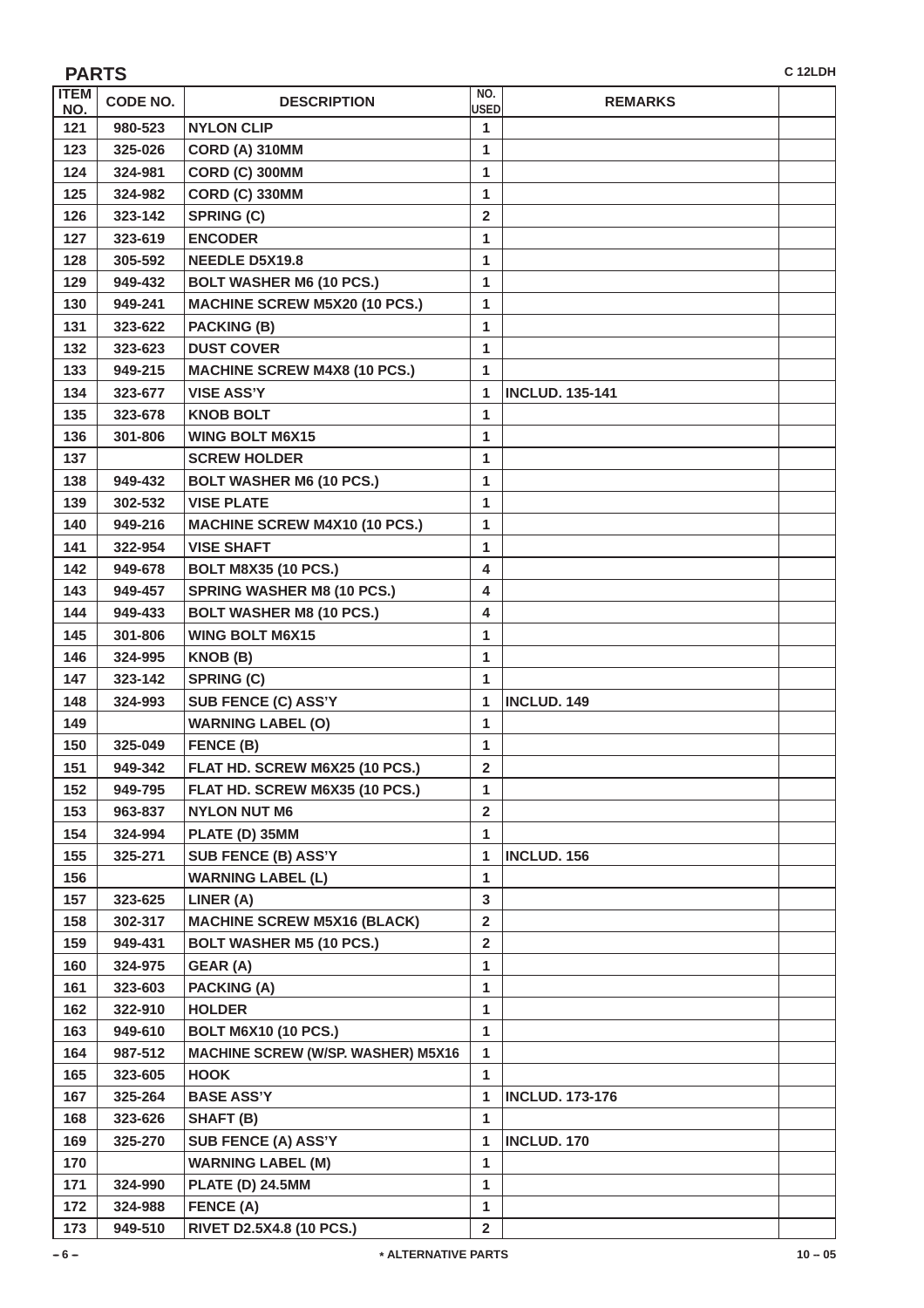| <b>ITEM</b><br>NO. | CODE NO. | <b>DESCRIPTION</b>                   | NO.<br><b>USED</b>      | <b>REMARKS</b>         |  |
|--------------------|----------|--------------------------------------|-------------------------|------------------------|--|
| 121                | 980-523  | <b>NYLON CLIP</b>                    | 1                       |                        |  |
| 123                | 325-026  | <b>CORD (A) 310MM</b>                | 1                       |                        |  |
| 124                | 324-981  | CORD (C) 300MM                       | 1                       |                        |  |
| 125                | 324-982  | <b>CORD (C) 330MM</b>                | 1                       |                        |  |
| 126                | 323-142  | <b>SPRING (C)</b>                    | 2                       |                        |  |
| 127                | 323-619  | <b>ENCODER</b>                       | 1                       |                        |  |
| 128                | 305-592  | <b>NEEDLE D5X19.8</b>                | 1                       |                        |  |
| 129                | 949-432  | <b>BOLT WASHER M6 (10 PCS.)</b>      | 1                       |                        |  |
| 130                | 949-241  | <b>MACHINE SCREW M5X20 (10 PCS.)</b> | 1                       |                        |  |
| 131                | 323-622  | <b>PACKING (B)</b>                   | 1                       |                        |  |
| 132                | 323-623  | <b>DUST COVER</b>                    | 1                       |                        |  |
| 133                | 949-215  | <b>MACHINE SCREW M4X8 (10 PCS.)</b>  | 1                       |                        |  |
| 134                | 323-677  | <b>VISE ASS'Y</b>                    | 1                       | <b>INCLUD. 135-141</b> |  |
| 135                | 323-678  | <b>KNOB BOLT</b>                     | 1                       |                        |  |
| 136                | 301-806  | <b>WING BOLT M6X15</b>               | 1                       |                        |  |
| 137                |          | <b>SCREW HOLDER</b>                  | 1                       |                        |  |
| 138                | 949-432  | <b>BOLT WASHER M6 (10 PCS.)</b>      | 1                       |                        |  |
| 139                | 302-532  | <b>VISE PLATE</b>                    | 1                       |                        |  |
| 140                | 949-216  | <b>MACHINE SCREW M4X10 (10 PCS.)</b> | 1                       |                        |  |
| 141                | 322-954  | <b>VISE SHAFT</b>                    | 1                       |                        |  |
| 142                | 949-678  | <b>BOLT M8X35 (10 PCS.)</b>          | 4                       |                        |  |
| 143                | 949-457  | <b>SPRING WASHER M8 (10 PCS.)</b>    | 4                       |                        |  |
| 144                | 949-433  | <b>BOLT WASHER M8 (10 PCS.)</b>      | 4                       |                        |  |
| 145                | 301-806  | <b>WING BOLT M6X15</b>               | 1                       |                        |  |
| 146                | 324-995  | KNOB (B)                             | 1                       |                        |  |
| 147                | 323-142  | <b>SPRING (C)</b>                    | 1                       |                        |  |
| 148                | 324-993  | SUB FENCE (C) ASS'Y                  | 1                       | <b>INCLUD. 149</b>     |  |
| 149                |          | <b>WARNING LABEL (O)</b>             | 1                       |                        |  |
| 150                | 325-049  | FENCE (B)                            | 1                       |                        |  |
| 151                | 949-342  | FLAT HD. SCREW M6X25 (10 PCS.)       | $\mathbf{2}$            |                        |  |
| 152                | 949-795  | FLAT HD. SCREW M6X35 (10 PCS.)       | 1                       |                        |  |
| 153                | 963-837  | <b>NYLON NUT M6</b>                  | $\mathbf{2}$            |                        |  |
| 154                | 324-994  | PLATE (D) 35MM                       | 1                       |                        |  |
| 155                | 325-271  | SUB FENCE (B) ASS'Y                  | 1                       | <b>INCLUD. 156</b>     |  |
| 156                |          | <b>WARNING LABEL (L)</b>             | 1                       |                        |  |
| 157                | 323-625  | LINER (A)                            | 3                       |                        |  |
| 158                | 302-317  | <b>MACHINE SCREW M5X16 (BLACK)</b>   | $\overline{\mathbf{2}}$ |                        |  |
| 159                | 949-431  | <b>BOLT WASHER M5 (10 PCS.)</b>      | $\overline{\mathbf{2}}$ |                        |  |
| 160                | 324-975  | GEAR (A)                             | 1                       |                        |  |
| 161                | 323-603  | <b>PACKING (A)</b>                   | 1                       |                        |  |
| 162                | 322-910  | <b>HOLDER</b>                        | 1                       |                        |  |
| 163                | 949-610  | <b>BOLT M6X10 (10 PCS.)</b>          | 1                       |                        |  |
| 164                | 987-512  | MACHINE SCREW (W/SP. WASHER) M5X16   | 1                       |                        |  |
| 165                | 323-605  | <b>HOOK</b>                          | 1                       |                        |  |
| 167                | 325-264  | <b>BASE ASS'Y</b>                    | 1                       | <b>INCLUD. 173-176</b> |  |
| 168                | 323-626  | SHAFT (B)                            | 1                       |                        |  |
| 169                | 325-270  | <b>SUB FENCE (A) ASS'Y</b>           | 1                       | <b>INCLUD. 170</b>     |  |
| 170                |          | <b>WARNING LABEL (M)</b>             | 1                       |                        |  |
| 171                | 324-990  | <b>PLATE (D) 24.5MM</b>              | 1                       |                        |  |
| 172                | 324-988  | FENCE (A)                            | 1                       |                        |  |

**PARTS**

**173 949-510 RIVET D2.5X4.8 (10 PCS.) 2**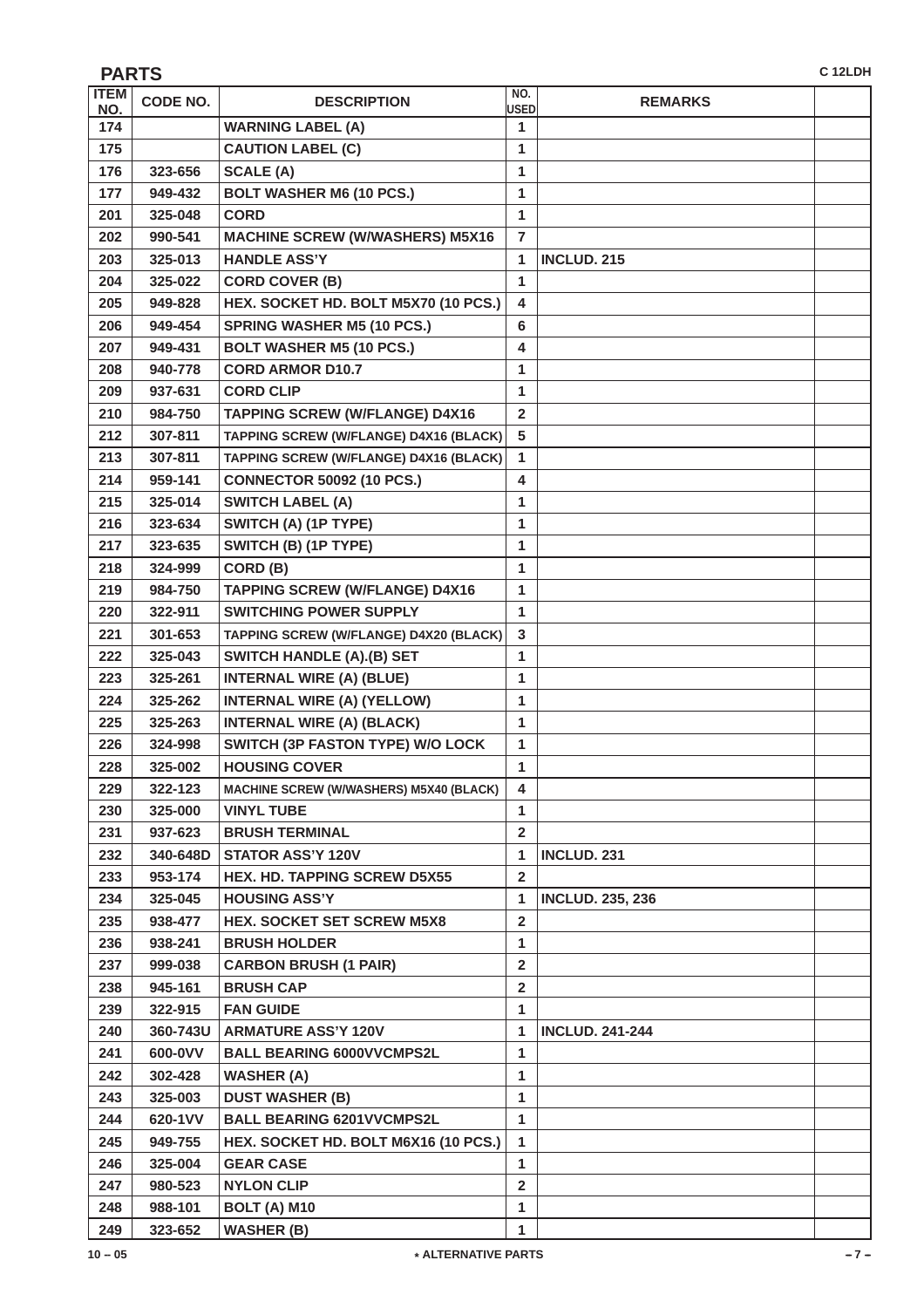| <b>ITEM</b><br>NO. | <b>CODE NO.</b> | <b>DESCRIPTION</b>                      | NO.<br><b>USED</b>      | <b>REMARKS</b>          |  |
|--------------------|-----------------|-----------------------------------------|-------------------------|-------------------------|--|
| 174                |                 | <b>WARNING LABEL (A)</b>                | 1                       |                         |  |
| 175                |                 | <b>CAUTION LABEL (C)</b>                | 1                       |                         |  |
| 176                | 323-656         | <b>SCALE (A)</b>                        | 1                       |                         |  |
| 177                | 949-432         | <b>BOLT WASHER M6 (10 PCS.)</b>         | 1                       |                         |  |
| 201                | 325-048         | <b>CORD</b>                             | 1                       |                         |  |
| 202                | 990-541         | <b>MACHINE SCREW (W/WASHERS) M5X16</b>  | 7                       |                         |  |
| 203                | 325-013         | <b>HANDLE ASS'Y</b>                     | 1                       | <b>INCLUD. 215</b>      |  |
| 204                | 325-022         | <b>CORD COVER (B)</b>                   | 1                       |                         |  |
| 205                | 949-828         | HEX. SOCKET HD. BOLT M5X70 (10 PCS.)    | 4                       |                         |  |
| 206                | 949-454         | <b>SPRING WASHER M5 (10 PCS.)</b>       | 6                       |                         |  |
| 207                | 949-431         | <b>BOLT WASHER M5 (10 PCS.)</b>         | 4                       |                         |  |
| 208                | 940-778         | <b>CORD ARMOR D10.7</b>                 | 1                       |                         |  |
| 209                | 937-631         | <b>CORD CLIP</b>                        | 1                       |                         |  |
| 210                | 984-750         | <b>TAPPING SCREW (W/FLANGE) D4X16</b>   | $\overline{2}$          |                         |  |
| 212                | 307-811         | TAPPING SCREW (W/FLANGE) D4X16 (BLACK)  | 5                       |                         |  |
| 213                | 307-811         | TAPPING SCREW (W/FLANGE) D4X16 (BLACK)  | 1                       |                         |  |
| 214                | 959-141         | <b>CONNECTOR 50092 (10 PCS.)</b>        | 4                       |                         |  |
| 215                | 325-014         | <b>SWITCH LABEL (A)</b>                 | 1                       |                         |  |
| 216                | 323-634         | SWITCH (A) (1P TYPE)                    | 1                       |                         |  |
| 217                | 323-635         | SWITCH (B) (1P TYPE)                    | 1                       |                         |  |
| 218                | 324-999         | CORD (B)                                | 1                       |                         |  |
| 219                | 984-750         | <b>TAPPING SCREW (W/FLANGE) D4X16</b>   | 1                       |                         |  |
| 220                | 322-911         | <b>SWITCHING POWER SUPPLY</b>           | 1                       |                         |  |
| 221                | 301-653         | TAPPING SCREW (W/FLANGE) D4X20 (BLACK)  | 3                       |                         |  |
| 222                | 325-043         | <b>SWITCH HANDLE (A).(B) SET</b>        | 1                       |                         |  |
| 223                | 325-261         | <b>INTERNAL WIRE (A) (BLUE)</b>         | 1                       |                         |  |
| 224                | 325-262         | <b>INTERNAL WIRE (A) (YELLOW)</b>       | 1                       |                         |  |
| 225                | 325-263         | <b>INTERNAL WIRE (A) (BLACK)</b>        | 1                       |                         |  |
| 226                | 324-998         | SWITCH (3P FASTON TYPE) W/O LOCK        | 1                       |                         |  |
| 228                | 325-002         | <b>HOUSING COVER</b>                    | 1                       |                         |  |
| 229                | 322-123         | MACHINE SCREW (W/WASHERS) M5X40 (BLACK) | 4                       |                         |  |
| 230                | 325-000         | <b>VINYL TUBE</b>                       | 1                       |                         |  |
| 231                | 937-623         | <b>BRUSH TERMINAL</b>                   | $\overline{2}$          |                         |  |
| 232                | 340-648D        | <b>STATOR ASS'Y 120V</b>                | 1                       | <b>INCLUD. 231</b>      |  |
| 233                | 953-174         | <b>HEX. HD. TAPPING SCREW D5X55</b>     | $\overline{2}$          |                         |  |
| 234                | 325-045         | <b>HOUSING ASS'Y</b>                    | 1                       | <b>INCLUD. 235, 236</b> |  |
| 235                | 938-477         | <b>HEX. SOCKET SET SCREW M5X8</b>       | $\overline{\mathbf{2}}$ |                         |  |
| 236                | 938-241         | <b>BRUSH HOLDER</b>                     | 1                       |                         |  |
| 237                | 999-038         | <b>CARBON BRUSH (1 PAIR)</b>            | $\overline{\mathbf{2}}$ |                         |  |
| 238                | 945-161         | <b>BRUSH CAP</b>                        | $\overline{2}$          |                         |  |
| 239                | 322-915         | <b>FAN GUIDE</b>                        | 1                       |                         |  |
| 240                | 360-743U        | <b>ARMATURE ASS'Y 120V</b>              | 1                       | <b>INCLUD. 241-244</b>  |  |
| 241                | 600-0VV         | <b>BALL BEARING 6000VVCMPS2L</b>        | 1                       |                         |  |
| 242                | 302-428         | <b>WASHER (A)</b>                       | 1                       |                         |  |
| 243                | 325-003         | <b>DUST WASHER (B)</b>                  | 1                       |                         |  |
| 244                | 620-1 V V       | <b>BALL BEARING 6201VVCMPS2L</b>        | $\mathbf{1}$            |                         |  |
| 245                | 949-755         | HEX. SOCKET HD. BOLT M6X16 (10 PCS.)    | 1                       |                         |  |
| 246                | 325-004         | <b>GEAR CASE</b>                        | $\mathbf{1}$            |                         |  |
| 247                | 980-523         | <b>NYLON CLIP</b>                       | $\overline{\mathbf{2}}$ |                         |  |
| 248                | 988-101         | <b>BOLT (A) M10</b>                     | 1                       |                         |  |
|                    |                 |                                         |                         |                         |  |

**249 323-652 WASHER (B) 1**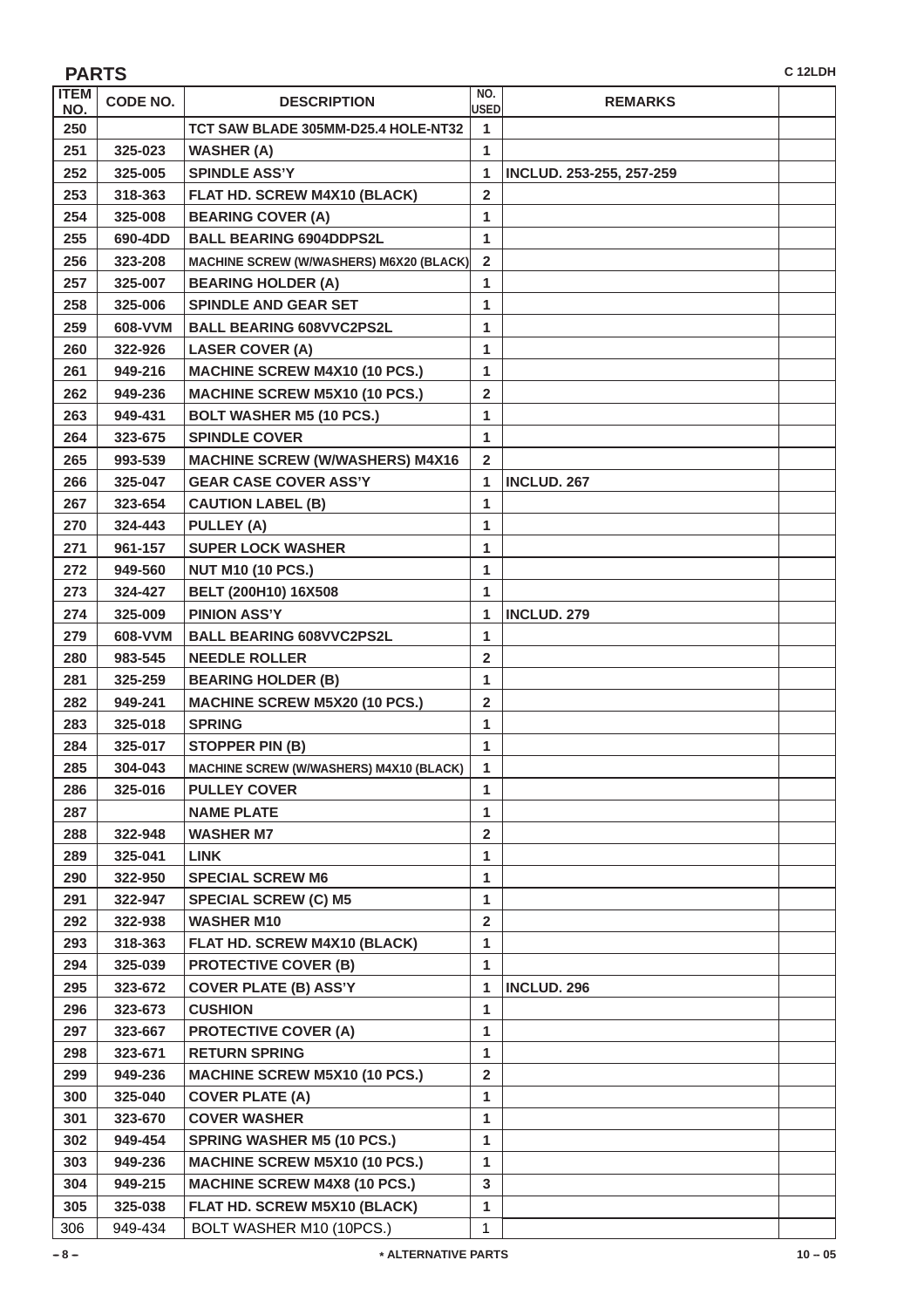| <b>ITEM</b><br>NO. | <b>CODE NO.</b>    | <b>DESCRIPTION</b>                      | NO.<br><b>USED</b> | <b>REMARKS</b>           |  |
|--------------------|--------------------|-----------------------------------------|--------------------|--------------------------|--|
| 250                |                    | TCT SAW BLADE 305MM-D25.4 HOLE-NT32     | 1                  |                          |  |
| 251                | 325-023            | <b>WASHER (A)</b>                       | 1                  |                          |  |
| 252                | 325-005            | <b>SPINDLE ASS'Y</b>                    | 1                  | INCLUD. 253-255, 257-259 |  |
| 253                | 318-363            | FLAT HD. SCREW M4X10 (BLACK)            | $\mathbf{2}$       |                          |  |
| 254                | 325-008            | <b>BEARING COVER (A)</b>                | 1                  |                          |  |
| 255                | 690-4DD            | <b>BALL BEARING 6904DDPS2L</b>          | 1                  |                          |  |
| 256                | 323-208            | MACHINE SCREW (W/WASHERS) M6X20 (BLACK) | $\mathbf{2}$       |                          |  |
| 257                | 325-007            | <b>BEARING HOLDER (A)</b>               | 1                  |                          |  |
| 258                | 325-006            | <b>SPINDLE AND GEAR SET</b>             | 1                  |                          |  |
| 259                | 608-VVM            | <b>BALL BEARING 608VVC2PS2L</b>         | 1                  |                          |  |
| 260                | 322-926            | <b>LASER COVER (A)</b>                  | 1                  |                          |  |
| 261                | 949-216            | <b>MACHINE SCREW M4X10 (10 PCS.)</b>    | 1                  |                          |  |
| 262                | 949-236            | MACHINE SCREW M5X10 (10 PCS.)           | $\overline{2}$     |                          |  |
| 263                | 949-431            | <b>BOLT WASHER M5 (10 PCS.)</b>         | 1                  |                          |  |
| 264                | 323-675            | <b>SPINDLE COVER</b>                    | 1                  |                          |  |
| 265                | 993-539            | <b>MACHINE SCREW (W/WASHERS) M4X16</b>  | $\mathbf{2}$       |                          |  |
| 266                | 325-047            | <b>GEAR CASE COVER ASS'Y</b>            | 1                  | <b>INCLUD. 267</b>       |  |
| 267                | 323-654            | <b>CAUTION LABEL (B)</b>                | 1                  |                          |  |
| 270                | 324-443            |                                         | 1                  |                          |  |
|                    |                    | PULLEY (A)                              |                    |                          |  |
| 271<br>272         | 961-157<br>949-560 | <b>SUPER LOCK WASHER</b>                | 1<br>1             |                          |  |
|                    |                    | <b>NUT M10 (10 PCS.)</b>                |                    |                          |  |
| 273                | 324-427            | BELT (200H10) 16X508                    | 1                  |                          |  |
| 274                | 325-009            | <b>PINION ASS'Y</b>                     | 1                  | <b>INCLUD. 279</b>       |  |
| 279                | 608-VVM            | <b>BALL BEARING 608VVC2PS2L</b>         | 1                  |                          |  |
| 280                | 983-545            | <b>NEEDLE ROLLER</b>                    | 2                  |                          |  |
| 281                | 325-259            | <b>BEARING HOLDER (B)</b>               | 1                  |                          |  |
| 282                | 949-241            | <b>MACHINE SCREW M5X20 (10 PCS.)</b>    | 2                  |                          |  |
| 283                | 325-018            | <b>SPRING</b>                           | 1                  |                          |  |
| 284                | 325-017            | <b>STOPPER PIN (B)</b>                  | 1                  |                          |  |
| 285                | 304-043            | MACHINE SCREW (W/WASHERS) M4X10 (BLACK) | 1                  |                          |  |
| 286                | 325-016            | <b>PULLEY COVER</b>                     | 1                  |                          |  |
| 287                |                    | <b>NAME PLATE</b>                       | 1                  |                          |  |
| 288                | 322-948            | <b>WASHER M7</b>                        | $\overline{2}$     |                          |  |
| 289                | 325-041            | <b>LINK</b>                             | 1                  |                          |  |
| 290                | 322-950            | <b>SPECIAL SCREW M6</b>                 | 1                  |                          |  |
| 291                | 322-947            | <b>SPECIAL SCREW (C) M5</b>             | 1                  |                          |  |
| 292                | 322-938            | <b>WASHER M10</b>                       | $\overline{2}$     |                          |  |
| 293                | 318-363            | FLAT HD. SCREW M4X10 (BLACK)            | 1                  |                          |  |
| 294                | 325-039            | <b>PROTECTIVE COVER (B)</b>             | 1                  |                          |  |
| 295                | 323-672            | <b>COVER PLATE (B) ASS'Y</b>            | 1                  | <b>INCLUD, 296</b>       |  |
| 296                | 323-673            | <b>CUSHION</b>                          | 1                  |                          |  |
| 297                | 323-667            | <b>PROTECTIVE COVER (A)</b>             | 1                  |                          |  |
| 298                | 323-671            | <b>RETURN SPRING</b>                    | 1                  |                          |  |
| 299                | 949-236            | <b>MACHINE SCREW M5X10 (10 PCS.)</b>    | $\overline{2}$     |                          |  |
| 300                | 325-040            | <b>COVER PLATE (A)</b>                  | 1                  |                          |  |
| 301                | 323-670            | <b>COVER WASHER</b>                     | 1                  |                          |  |
| 302                | 949-454            | <b>SPRING WASHER M5 (10 PCS.)</b>       | 1                  |                          |  |
| 303                | 949-236            | <b>MACHINE SCREW M5X10 (10 PCS.)</b>    | 1                  |                          |  |
| 304                | 949-215            | <b>MACHINE SCREW M4X8 (10 PCS.)</b>     | 3                  |                          |  |
| 305                | 325-038            | FLAT HD. SCREW M5X10 (BLACK)            | 1                  |                          |  |
| 306                | 949-434            | BOLT WASHER M10 (10PCS.)                | 1                  |                          |  |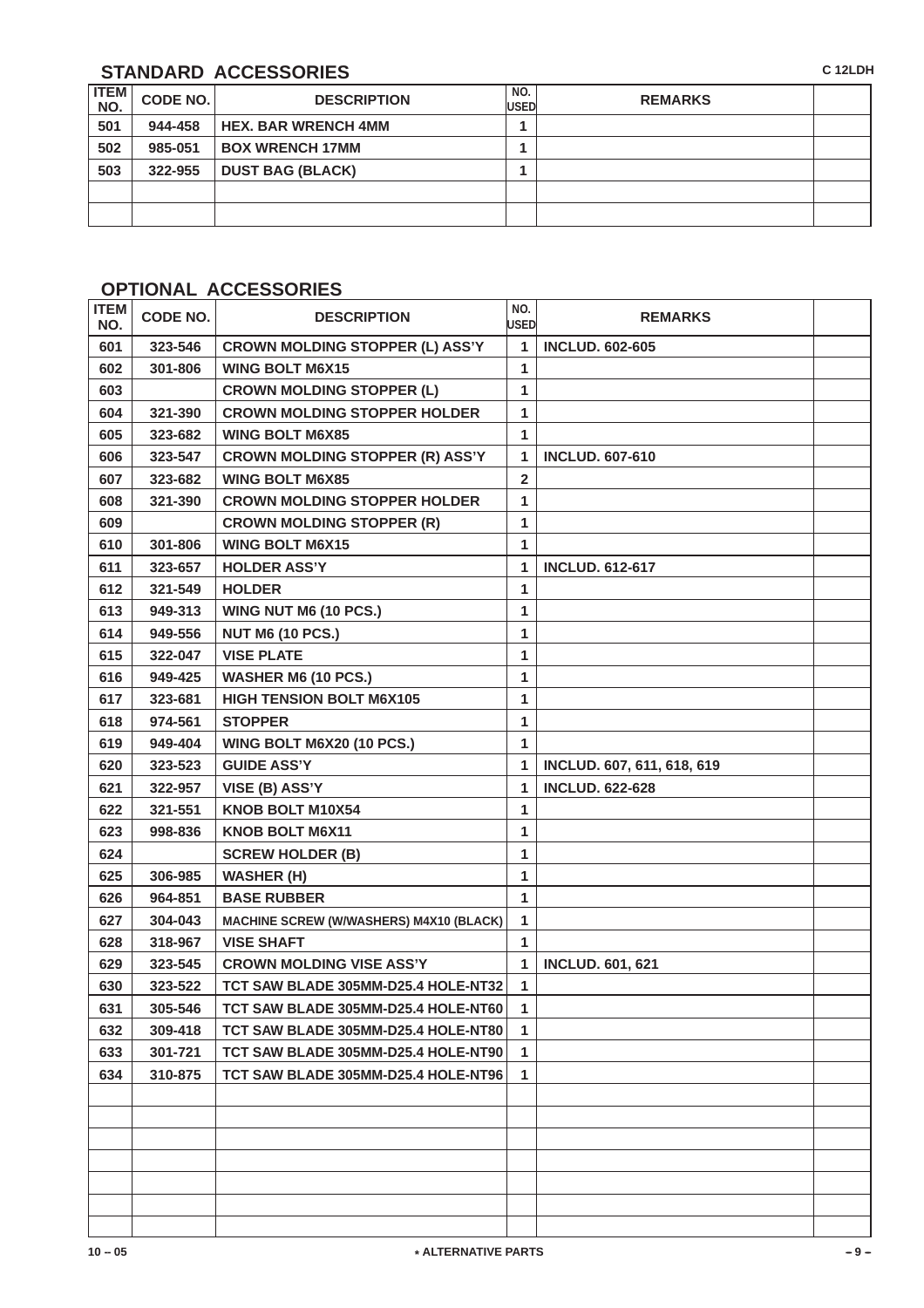## **STANDARD ACCESSORIES**

| <b>ITEM</b><br>NO. | CODE NO. | <b>DESCRIPTION</b>         | NO.<br><b>USED</b> | <b>REMARKS</b> |  |
|--------------------|----------|----------------------------|--------------------|----------------|--|
| 501                | 944-458  | <b>HEX. BAR WRENCH 4MM</b> |                    |                |  |
| 502                | 985-051  | <b>BOX WRENCH 17MM</b>     |                    |                |  |
| 503                | 322-955  | <b>DUST BAG (BLACK)</b>    |                    |                |  |
|                    |          |                            |                    |                |  |
|                    |          |                            |                    |                |  |

## **OPTIONAL ACCESSORIES**

| <b>ITEM</b><br>NO. | CODE NO. | <b>DESCRIPTION</b>                      | NO.<br>USED    | <b>REMARKS</b>             |  |
|--------------------|----------|-----------------------------------------|----------------|----------------------------|--|
| 601                | 323-546  | <b>CROWN MOLDING STOPPER (L) ASS'Y</b>  | 1              | <b>INCLUD. 602-605</b>     |  |
| 602                | 301-806  | <b>WING BOLT M6X15</b>                  | 1              |                            |  |
| 603                |          | <b>CROWN MOLDING STOPPER (L)</b>        | 1              |                            |  |
| 604                | 321-390  | <b>CROWN MOLDING STOPPER HOLDER</b>     | 1              |                            |  |
| 605                | 323-682  | <b>WING BOLT M6X85</b>                  | 1              |                            |  |
| 606                | 323-547  | <b>CROWN MOLDING STOPPER (R) ASS'Y</b>  | 1              | <b>INCLUD. 607-610</b>     |  |
| 607                | 323-682  | <b>WING BOLT M6X85</b>                  | $\overline{2}$ |                            |  |
| 608                | 321-390  | <b>CROWN MOLDING STOPPER HOLDER</b>     | 1              |                            |  |
| 609                |          | <b>CROWN MOLDING STOPPER (R)</b>        | 1              |                            |  |
| 610                | 301-806  | <b>WING BOLT M6X15</b>                  | 1              |                            |  |
| 611                | 323-657  | <b>HOLDER ASS'Y</b>                     | 1              | <b>INCLUD. 612-617</b>     |  |
| 612                | 321-549  | <b>HOLDER</b>                           | 1              |                            |  |
| 613                | 949-313  | WING NUT M6 (10 PCS.)                   | 1              |                            |  |
| 614                | 949-556  | <b>NUT M6 (10 PCS.)</b>                 | 1              |                            |  |
| 615                | 322-047  | <b>VISE PLATE</b>                       | 1              |                            |  |
| 616                | 949-425  | <b>WASHER M6 (10 PCS.)</b>              | 1              |                            |  |
| 617                | 323-681  | <b>HIGH TENSION BOLT M6X105</b>         | 1              |                            |  |
| 618                | 974-561  | <b>STOPPER</b>                          | 1              |                            |  |
| 619                | 949-404  | WING BOLT M6X20 (10 PCS.)               | 1              |                            |  |
| 620                | 323-523  | <b>GUIDE ASS'Y</b>                      | 1              | INCLUD. 607, 611, 618, 619 |  |
| 621                | 322-957  | VISE (B) ASS'Y                          | 1              | <b>INCLUD. 622-628</b>     |  |
| 622                | 321-551  | KNOB BOLT M10X54                        | 1              |                            |  |
| 623                | 998-836  | <b>KNOB BOLT M6X11</b>                  | 1              |                            |  |
| 624                |          | <b>SCREW HOLDER (B)</b>                 | 1              |                            |  |
| 625                | 306-985  | <b>WASHER (H)</b>                       | 1              |                            |  |
| 626                | 964-851  | <b>BASE RUBBER</b>                      | 1              |                            |  |
| 627                | 304-043  | MACHINE SCREW (W/WASHERS) M4X10 (BLACK) | 1              |                            |  |
| 628                | 318-967  | <b>VISE SHAFT</b>                       | 1              |                            |  |
| 629                | 323-545  | <b>CROWN MOLDING VISE ASS'Y</b>         | 1              | <b>INCLUD. 601, 621</b>    |  |
| 630                | 323-522  | TCT SAW BLADE 305MM-D25.4 HOLE-NT32     | 1              |                            |  |
| 631                | 305-546  | TCT SAW BLADE 305MM-D25.4 HOLE-NT60     | 1              |                            |  |
| 632                | 309-418  | TCT SAW BLADE 305MM-D25.4 HOLE-NT80     | 1              |                            |  |
| 633                | 301-721  | TCT SAW BLADE 305MM-D25.4 HOLE-NT90     | 1              |                            |  |
| 634                | 310-875  | TCT SAW BLADE 305MM-D25.4 HOLE-NT96     | 1              |                            |  |
|                    |          |                                         |                |                            |  |
|                    |          |                                         |                |                            |  |
|                    |          |                                         |                |                            |  |
|                    |          |                                         |                |                            |  |
|                    |          |                                         |                |                            |  |
|                    |          |                                         |                |                            |  |
|                    |          |                                         |                |                            |  |

**C 12LDH**